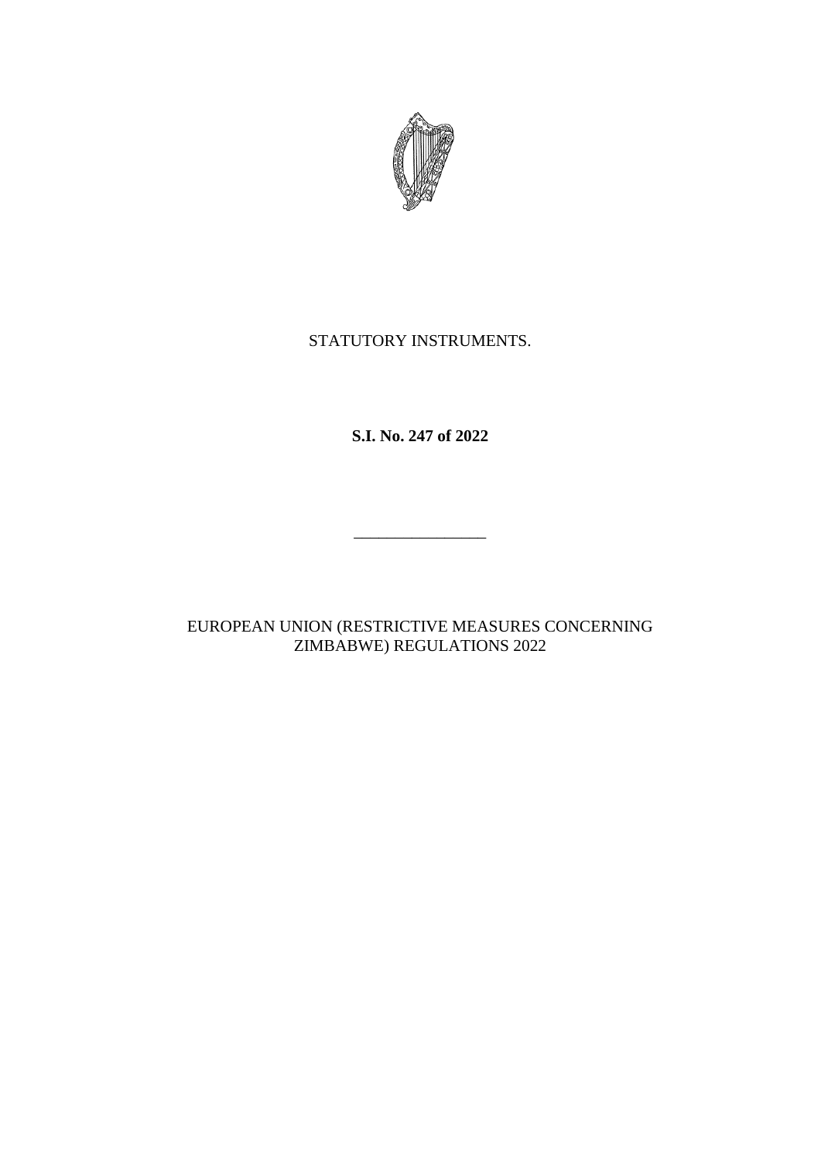

## STATUTORY INSTRUMENTS.

**S.I. No. 247 of 2022**

 $\frac{1}{\sqrt{2}}$  ,  $\frac{1}{\sqrt{2}}$  ,  $\frac{1}{\sqrt{2}}$  ,  $\frac{1}{\sqrt{2}}$  ,  $\frac{1}{\sqrt{2}}$  ,  $\frac{1}{\sqrt{2}}$  ,  $\frac{1}{\sqrt{2}}$  ,  $\frac{1}{\sqrt{2}}$  ,  $\frac{1}{\sqrt{2}}$  ,  $\frac{1}{\sqrt{2}}$  ,  $\frac{1}{\sqrt{2}}$  ,  $\frac{1}{\sqrt{2}}$  ,  $\frac{1}{\sqrt{2}}$  ,  $\frac{1}{\sqrt{2}}$  ,  $\frac{1}{\sqrt{2}}$ 

EUROPEAN UNION (RESTRICTIVE MEASURES CONCERNING ZIMBABWE) REGULATIONS 2022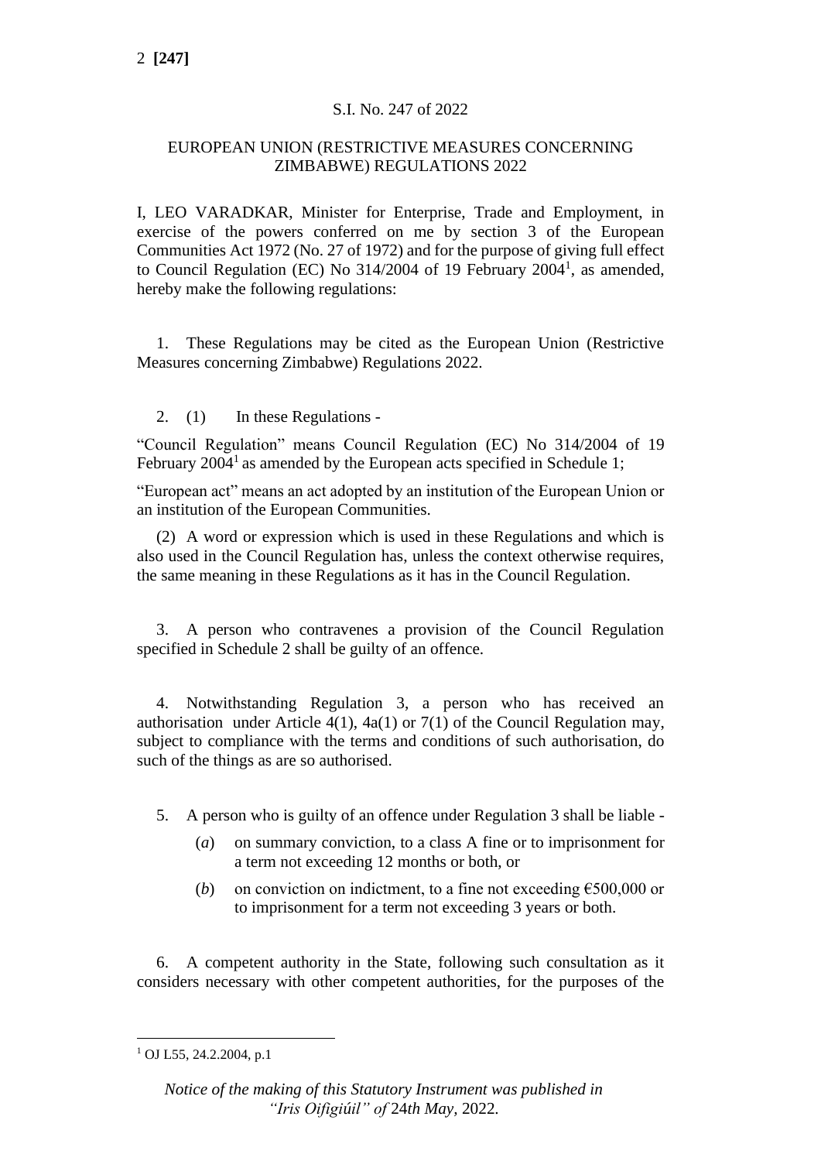### S.I. No. 247 of 2022

#### EUROPEAN UNION (RESTRICTIVE MEASURES CONCERNING ZIMBABWE) REGULATIONS 2022

I, LEO VARADKAR, Minister for Enterprise, Trade and Employment, in exercise of the powers conferred on me by section 3 of the European Communities Act 1972 (No. 27 of 1972) and for the purpose of giving full effect to Council Regulation (EC) No  $314/2004$  of 19 February  $2004<sup>1</sup>$ , as amended, hereby make the following regulations:

1. These Regulations may be cited as the European Union (Restrictive Measures concerning Zimbabwe) Regulations 2022.

### 2. (1) In these Regulations -

"Council Regulation" means Council Regulation (EC) No 314/2004 of 19 February  $2004<sup>1</sup>$  as amended by the European acts specified in Schedule 1;

"European act" means an act adopted by an institution of the European Union or an institution of the European Communities.

(2) A word or expression which is used in these Regulations and which is also used in the Council Regulation has, unless the context otherwise requires, the same meaning in these Regulations as it has in the Council Regulation.

3. A person who contravenes a provision of the Council Regulation specified in Schedule 2 shall be guilty of an offence.

4. Notwithstanding Regulation 3, a person who has received an authorisation under Article  $4(1)$ ,  $4a(1)$  or  $7(1)$  of the Council Regulation may, subject to compliance with the terms and conditions of such authorisation, do such of the things as are so authorised.

- 5. A person who is guilty of an offence under Regulation 3 shall be liable
	- (*a*) on summary conviction, to a class A fine or to imprisonment for a term not exceeding 12 months or both, or
	- (*b*) on conviction on indictment, to a fine not exceeding  $\epsilon$ 500,000 or to imprisonment for a term not exceeding 3 years or both.

6. A competent authority in the State, following such consultation as it considers necessary with other competent authorities, for the purposes of the

 $1$  OJ L55, 24.2.2004, p.1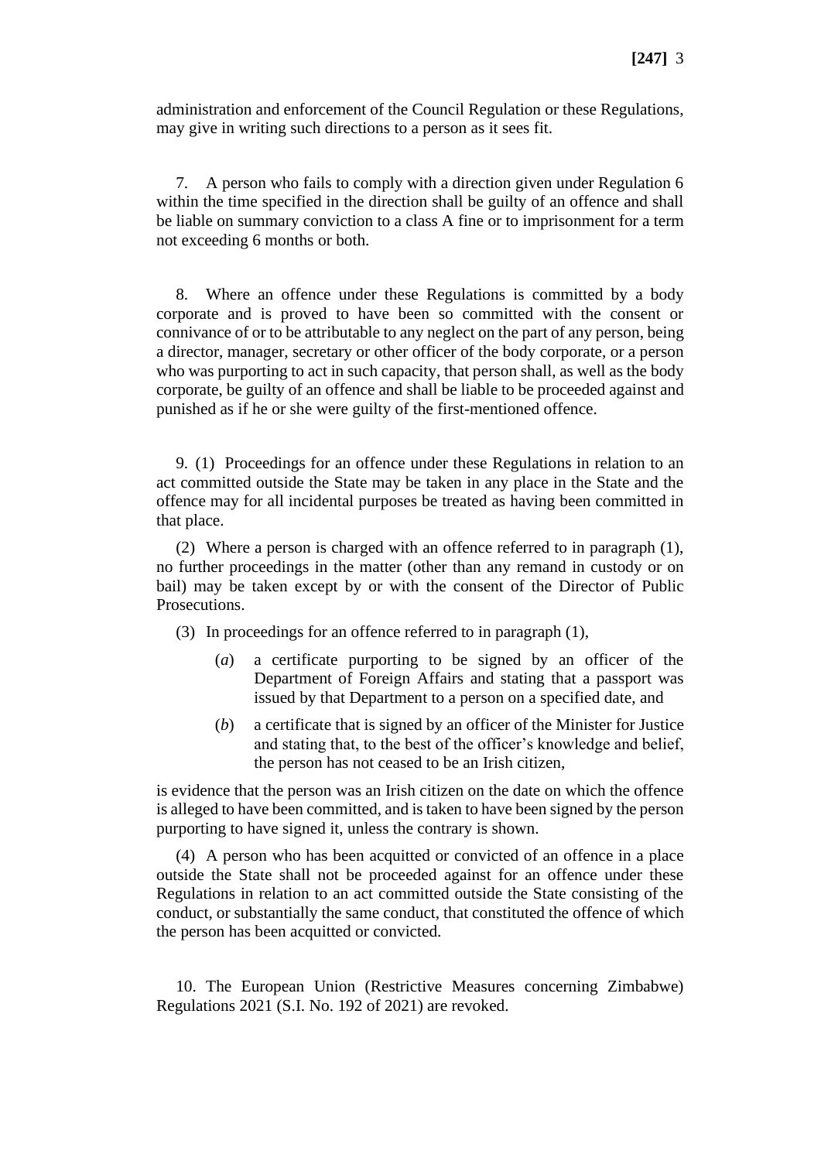administration and enforcement of the Council Regulation or these Regulations, may give in writing such directions to a person as it sees fit.

7. A person who fails to comply with a direction given under Regulation 6 within the time specified in the direction shall be guilty of an offence and shall be liable on summary conviction to a class A fine or to imprisonment for a term not exceeding 6 months or both.

8. Where an offence under these Regulations is committed by a body corporate and is proved to have been so committed with the consent or connivance of or to be attributable to any neglect on the part of any person, being a director, manager, secretary or other officer of the body corporate, or a person who was purporting to act in such capacity, that person shall, as well as the body corporate, be guilty of an offence and shall be liable to be proceeded against and punished as if he or she were guilty of the first-mentioned offence.

9. (1) Proceedings for an offence under these Regulations in relation to an act committed outside the State may be taken in any place in the State and the offence may for all incidental purposes be treated as having been committed in that place.

(2) Where a person is charged with an offence referred to in paragraph (1), no further proceedings in the matter (other than any remand in custody or on bail) may be taken except by or with the consent of the Director of Public Prosecutions.

(3) In proceedings for an offence referred to in paragraph (1),

- (*a*) a certificate purporting to be signed by an officer of the Department of Foreign Affairs and stating that a passport was issued by that Department to a person on a specified date, and
- (*b*) a certificate that is signed by an officer of the Minister for Justice and stating that, to the best of the officer's knowledge and belief, the person has not ceased to be an Irish citizen,

is evidence that the person was an Irish citizen on the date on which the offence is alleged to have been committed, and is taken to have been signed by the person purporting to have signed it, unless the contrary is shown.

(4) A person who has been acquitted or convicted of an offence in a place outside the State shall not be proceeded against for an offence under these Regulations in relation to an act committed outside the State consisting of the conduct, or substantially the same conduct, that constituted the offence of which the person has been acquitted or convicted.

10. The European Union (Restrictive Measures concerning Zimbabwe) Regulations 2021 (S.I. No. 192 of 2021) are revoked.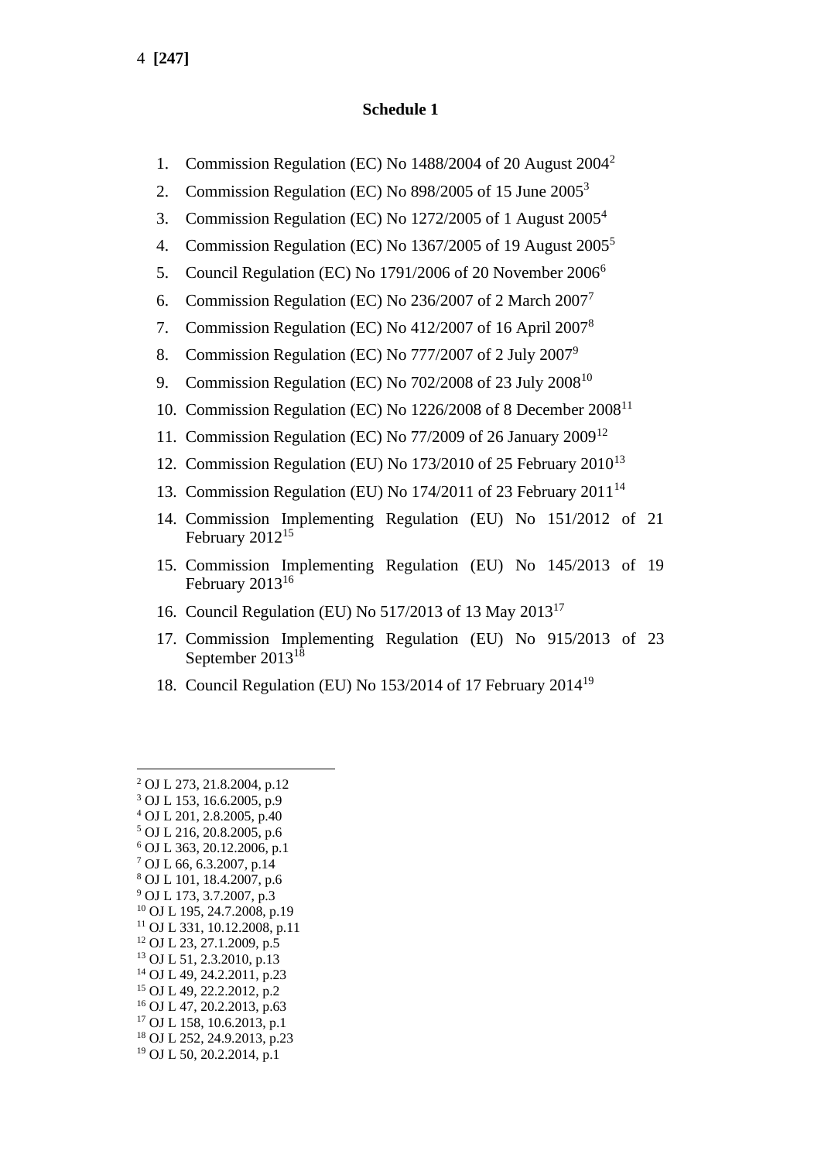#### **Schedule 1**

- 1. Commission Regulation (EC) No 1488/2004 of 20 August 2004<sup>2</sup>
- 2. Commission Regulation (EC) No 898/2005 of 15 June 2005<sup>3</sup>
- 3. Commission Regulation (EC) No 1272/2005 of 1 August 2005<sup>4</sup>
- 4. Commission Regulation (EC) No 1367/2005 of 19 August 2005<sup>5</sup>
- 5. Council Regulation (EC) No 1791/2006 of 20 November 2006<sup>6</sup>
- 6. Commission Regulation (EC) No 236/2007 of 2 March 2007<sup>7</sup>
- 7. Commission Regulation (EC) No  $412/2007$  of 16 April  $2007<sup>8</sup>$
- 8. Commission Regulation (EC) No 777/2007 of 2 July 2007<sup>9</sup>
- 9. Commission Regulation (EC) No  $702/2008$  of 23 July  $2008^{10}$
- 10. Commission Regulation (EC) No 1226/2008 of 8 December 2008<sup>11</sup>
- 11. Commission Regulation (EC) No 77/2009 of 26 January 2009<sup>12</sup>
- 12. Commission Regulation (EU) No 173/2010 of 25 February 2010<sup>13</sup>
- 13. Commission Regulation (EU) No 174/2011 of 23 February 2011<sup>14</sup>
- 14. Commission Implementing Regulation (EU) No 151/2012 of 21 February 2012<sup>15</sup>
- 15. Commission Implementing Regulation (EU) No 145/2013 of 19 February 2013<sup>16</sup>
- 16. Council Regulation (EU) No 517/2013 of 13 May 2013<sup>17</sup>
- 17. Commission Implementing Regulation (EU) No 915/2013 of 23 September 2013<sup>18</sup>
- 18. Council Regulation (EU) No 153/2014 of 17 February 2014<sup>19</sup>

<sup>2</sup> OJ L 273, 21.8.2004, p.12

- <sup>17</sup> OJ L 158, 10.6.2013, p.1
- <sup>18</sup> OJ L 252, 24.9.2013, p.23
- <sup>19</sup> OJ L 50, 20.2.2014, p.1

 $3$  OJ L 153, 16.6.2005, p.9 <sup>4</sup> OJ L 201, 2.8.2005, p.40 <sup>5</sup> OJ L 216, 20.8.2005, p.6 <sup>6</sup> OJ L 363, 20.12.2006, p.1 <sup>7</sup> OJ L 66, 6.3.2007, p.14 <sup>8</sup> OJ L 101, 18.4.2007, p.6 <sup>9</sup> OJ L 173, 3.7.2007, p.3 <sup>10</sup> OJ L 195, 24.7.2008, p.19 <sup>11</sup> OJ L 331, 10.12.2008, p.11 <sup>12</sup> OJ L 23, 27.1.2009, p.5 <sup>13</sup> OJ L 51, 2.3.2010, p.13 <sup>14</sup> OJ L 49, 24.2.2011, p.23 <sup>15</sup> OJ L 49, 22.2.2012, p.2

<sup>16</sup> OJ L 47, 20.2.2013, p.63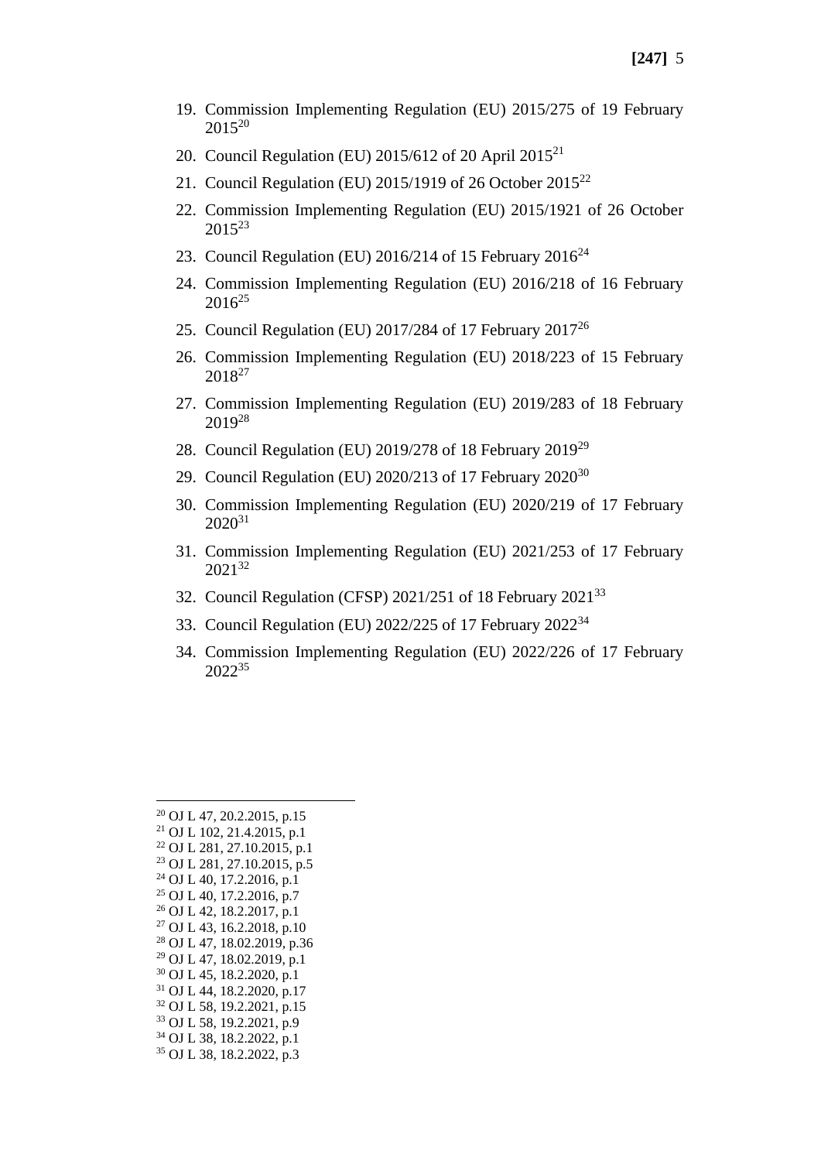- 19. Commission Implementing Regulation (EU) 2015/275 of 19 February  $2015^{20}$
- 20. Council Regulation (EU) 2015/612 of 20 April 2015<sup>21</sup>
- 21. Council Regulation (EU) 2015/1919 of 26 October 2015<sup>22</sup>
- 22. Commission Implementing Regulation (EU) 2015/1921 of 26 October  $2015^{23}$
- 23. Council Regulation (EU) 2016/214 of 15 February  $2016^{24}$
- 24. Commission Implementing Regulation (EU) 2016/218 of 16 February  $2016^{25}$
- 25. Council Regulation (EU) 2017/284 of 17 February 2017<sup>26</sup>
- 26. Commission Implementing Regulation (EU) 2018/223 of 15 February 2018<sup>27</sup>
- 27. Commission Implementing Regulation (EU) 2019/283 of 18 February 2019<sup>28</sup>
- 28. Council Regulation (EU) 2019/278 of 18 February 2019<sup>29</sup>
- 29. Council Regulation (EU) 2020/213 of 17 February 2020<sup>30</sup>
- 30. Commission Implementing Regulation (EU) 2020/219 of 17 February  $2020^{31}$
- 31. Commission Implementing Regulation (EU) 2021/253 of 17 February 2021<sup>32</sup>
- 32. Council Regulation (CFSP) 2021/251 of 18 February 2021<sup>33</sup>
- 33. Council Regulation (EU) 2022/225 of 17 February 2022<sup>34</sup>
- 34. Commission Implementing Regulation (EU) 2022/226 of 17 February 2022<sup>35</sup>

| <sup>20</sup> OJ L 47, 20.2.2015, p.15  |
|-----------------------------------------|
| <sup>21</sup> OJ L 102, 21.4.2015, p.1  |
| <sup>22</sup> OJ L 281, 27.10.2015, p.1 |
| <sup>23</sup> OJ L 281, 27.10.2015, p.5 |
| <sup>24</sup> OJ L 40, 17.2.2016, p.1   |
| <sup>25</sup> OJ L 40, 17.2.2016, p.7   |
| <sup>26</sup> OJ L 42, 18.2.2017, p.1   |
| <sup>27</sup> OJ L 43, 16.2.2018, p.10  |
| <sup>28</sup> OJ L 47, 18.02.2019, p.36 |
| <sup>29</sup> OJ L 47, 18.02.2019, p.1  |
| <sup>30</sup> OJ L 45, 18.2.2020, p.1   |
| <sup>31</sup> OJ L 44, 18.2.2020, p.17  |
| <sup>32</sup> OJ L 58, 19.2.2021, p.15  |
| <sup>33</sup> OJ L 58, 19.2.2021, p.9   |
| <sup>34</sup> OJ L 38, 18.2.2022, p.1   |
| <sup>35</sup> OJ L 38, 18.2.2022, p.3   |
|                                         |
|                                         |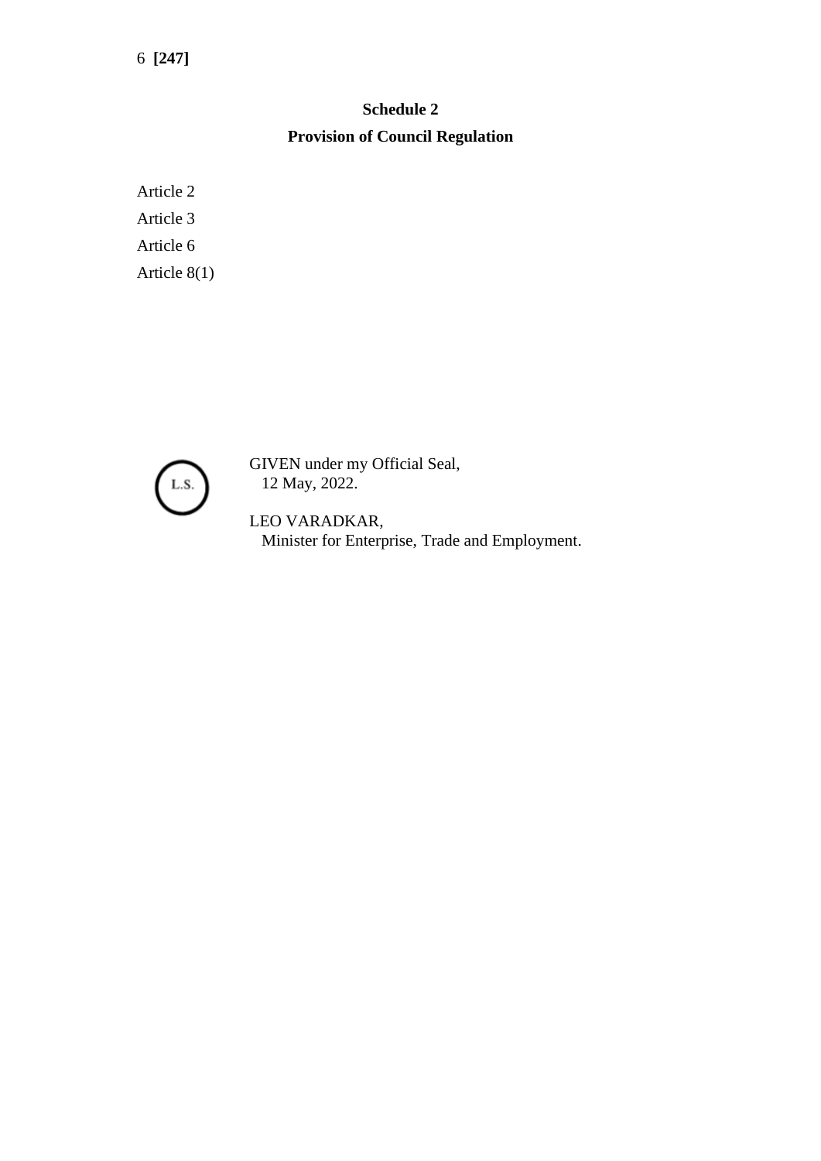# **Schedule 2 Provision of Council Regulation**

Article 2 Article 3 Article 6 Article 8(1)



GIVEN under my Official Seal, 12 May, 2022.

LEO VARADKAR, Minister for Enterprise, Trade and Employment.